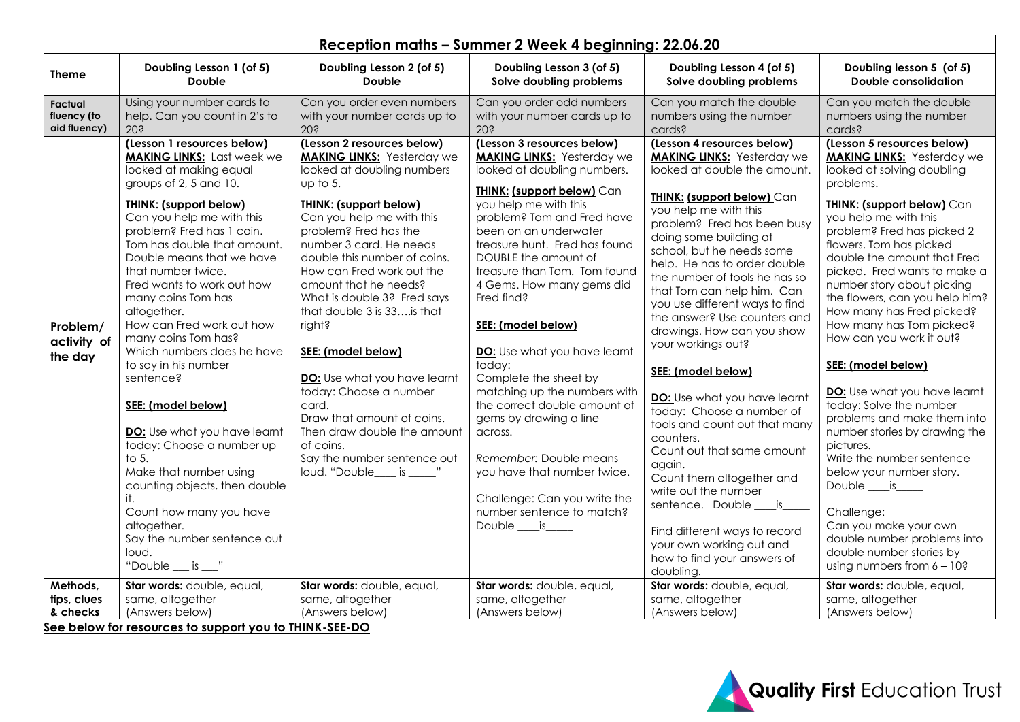| Reception maths - Summer 2 Week 4 beginning: 22.06.20 |                                                                                                                                                                                                                                                                                                                                                                                                                                                                                                                                                                                                                                                                                                                                                                            |                                                                                                                                                                                                                                                                                                                                                                                                                                                                                                                                                                                                                             |                                                                                                                                                                                                                                                                                                                                                                                                                                                                                                                                                                                                                                                                                                  |                                                                                                                                                                                                                                                                                                                                                                                                                                                                                                                                                                                                                                                                                                                                                                                                                                             |                                                                                                                                                                                                                                                                                                                                                                                                                                                                                                                                                                                                                                                                                                                                                                                                                                      |  |
|-------------------------------------------------------|----------------------------------------------------------------------------------------------------------------------------------------------------------------------------------------------------------------------------------------------------------------------------------------------------------------------------------------------------------------------------------------------------------------------------------------------------------------------------------------------------------------------------------------------------------------------------------------------------------------------------------------------------------------------------------------------------------------------------------------------------------------------------|-----------------------------------------------------------------------------------------------------------------------------------------------------------------------------------------------------------------------------------------------------------------------------------------------------------------------------------------------------------------------------------------------------------------------------------------------------------------------------------------------------------------------------------------------------------------------------------------------------------------------------|--------------------------------------------------------------------------------------------------------------------------------------------------------------------------------------------------------------------------------------------------------------------------------------------------------------------------------------------------------------------------------------------------------------------------------------------------------------------------------------------------------------------------------------------------------------------------------------------------------------------------------------------------------------------------------------------------|---------------------------------------------------------------------------------------------------------------------------------------------------------------------------------------------------------------------------------------------------------------------------------------------------------------------------------------------------------------------------------------------------------------------------------------------------------------------------------------------------------------------------------------------------------------------------------------------------------------------------------------------------------------------------------------------------------------------------------------------------------------------------------------------------------------------------------------------|--------------------------------------------------------------------------------------------------------------------------------------------------------------------------------------------------------------------------------------------------------------------------------------------------------------------------------------------------------------------------------------------------------------------------------------------------------------------------------------------------------------------------------------------------------------------------------------------------------------------------------------------------------------------------------------------------------------------------------------------------------------------------------------------------------------------------------------|--|
| <b>Theme</b>                                          | Doubling Lesson 1 (of 5)<br><b>Double</b>                                                                                                                                                                                                                                                                                                                                                                                                                                                                                                                                                                                                                                                                                                                                  | Doubling Lesson 2 (of 5)<br><b>Double</b>                                                                                                                                                                                                                                                                                                                                                                                                                                                                                                                                                                                   | Doubling Lesson 3 (of 5)<br>Solve doubling problems                                                                                                                                                                                                                                                                                                                                                                                                                                                                                                                                                                                                                                              | Doubling Lesson 4 (of 5)<br>Solve doubling problems                                                                                                                                                                                                                                                                                                                                                                                                                                                                                                                                                                                                                                                                                                                                                                                         | Doubling lesson 5 (of 5)<br><b>Double consolidation</b>                                                                                                                                                                                                                                                                                                                                                                                                                                                                                                                                                                                                                                                                                                                                                                              |  |
| Factual<br>fluency (to<br>aid fluency)                | Using your number cards to<br>help. Can you count in 2's to<br>20 <sub>5</sub>                                                                                                                                                                                                                                                                                                                                                                                                                                                                                                                                                                                                                                                                                             | Can you order even numbers<br>with your number cards up to<br>20 <sub>5</sub>                                                                                                                                                                                                                                                                                                                                                                                                                                                                                                                                               | Can you order odd numbers<br>with your number cards up to<br>20 <sub>5</sub>                                                                                                                                                                                                                                                                                                                                                                                                                                                                                                                                                                                                                     | Can you match the double<br>numbers using the number<br>cards?                                                                                                                                                                                                                                                                                                                                                                                                                                                                                                                                                                                                                                                                                                                                                                              | Can you match the double<br>numbers using the number<br>cards?                                                                                                                                                                                                                                                                                                                                                                                                                                                                                                                                                                                                                                                                                                                                                                       |  |
| Problem/<br>activity of<br>the day                    | (Lesson 1 resources below)<br><b>MAKING LINKS:</b> Last week we<br>looked at making equal<br>groups of 2, 5 and 10.<br><b>THINK: (support below)</b><br>Can you help me with this<br>problem? Fred has 1 coin.<br>Tom has double that amount.<br>Double means that we have<br>that number twice.<br>Fred wants to work out how<br>many coins Tom has<br>altogether.<br>How can Fred work out how<br>many coins Tom has?<br>Which numbers does he have<br>to say in his number<br>sentence?<br>SEE: (model below)<br>DO: Use what you have learnt<br>today: Choose a number up<br>to $5.$<br>Make that number using<br>counting objects, then double<br>it.<br>Count how many you have<br>altogether.<br>Say the number sentence out<br>loud.<br>"Double $\_\_$ is $\_\_$ " | (Lesson 2 resources below)<br><b>MAKING LINKS:</b> Yesterday we<br>looked at doubling numbers<br>up to $5.$<br><b>THINK: (support below)</b><br>Can you help me with this<br>problem? Fred has the<br>number 3 card. He needs<br>double this number of coins.<br>How can Fred work out the<br>amount that he needs?<br>What is double 3? Fred says<br>that double 3 is 33is that<br>right?<br>SEE: (model below)<br>DO: Use what you have learnt<br>today: Choose a number<br>card.<br>Draw that amount of coins.<br>Then draw double the amount<br>of coins.<br>Say the number sentence out<br>loud. "Double____ is _____" | (Lesson 3 resources below)<br><b>MAKING LINKS:</b> Yesterday we<br>looked at doubling numbers.<br><b>THINK: (support below)</b> Can<br>you help me with this<br>problem? Tom and Fred have<br>been on an underwater<br>treasure hunt. Fred has found<br>DOUBLE the amount of<br>treasure than Tom. Tom found<br>4 Gems. How many gems did<br>Fred find?<br>SEE: (model below)<br>DO: Use what you have learnt<br>today:<br>Complete the sheet by<br>matching up the numbers with<br>the correct double amount of<br>gems by drawing a line<br>across.<br>Remember: Double means<br>you have that number twice.<br>Challenge: Can you write the<br>number sentence to match?<br>Double ___ is____ | (Lesson 4 resources below)<br><b>MAKING LINKS:</b> Yesterday we<br>looked at double the amount.<br><b>THINK: (support below) Can</b><br>you help me with this<br>problem? Fred has been busy<br>doing some building at<br>school, but he needs some<br>help. He has to order double<br>the number of tools he has so<br>that Tom can help him. Can<br>you use different ways to find<br>the answer? Use counters and<br>drawings. How can you show<br>your workings out?<br>SEE: (model below)<br>DO: Use what you have learnt<br>today: Choose a number of<br>tools and count out that many<br>counters.<br>Count out that same amount<br>again.<br>Count them altogether and<br>write out the number<br>sentence. Double ____ is<br>Find different ways to record<br>your own working out and<br>how to find your answers of<br>doubling. | (Lesson 5 resources below)<br><b>MAKING LINKS:</b> Yesterday we<br>looked at solving doubling<br>problems.<br><b>THINK: (support below)</b> Can<br>you help me with this<br>problem? Fred has picked 2<br>flowers. Tom has picked<br>double the amount that Fred<br>picked. Fred wants to make a<br>number story about picking<br>the flowers, can you help him?<br>How many has Fred picked?<br>How many has Tom picked?<br>How can you work it out?<br>SEE: (model below)<br>DO: Use what you have learnt<br>today: Solve the number<br>problems and make them into<br>number stories by drawing the<br>pictures.<br>Write the number sentence<br>below your number story.<br>Double ___ is____<br>Challenge:<br>Can you make your own<br>double number problems into<br>double number stories by<br>using numbers from $6 - 10$ ? |  |
| Methods,<br>tips, clues<br>& checks                   | Star words: double, equal,<br>same, altogether<br>(Answers below)<br>See below for resources to support you to THINK-SEE-DO                                                                                                                                                                                                                                                                                                                                                                                                                                                                                                                                                                                                                                                | Star words: double, equal,<br>same, altogether<br>(Answers below)                                                                                                                                                                                                                                                                                                                                                                                                                                                                                                                                                           | Star words: double, equal,<br>same, altogether<br>(Answers below)                                                                                                                                                                                                                                                                                                                                                                                                                                                                                                                                                                                                                                | Star words: double, equal,<br>same, altogether<br>(Answers below)                                                                                                                                                                                                                                                                                                                                                                                                                                                                                                                                                                                                                                                                                                                                                                           | Star words: double, equal,<br>same, altogether<br>(Answers below)                                                                                                                                                                                                                                                                                                                                                                                                                                                                                                                                                                                                                                                                                                                                                                    |  |

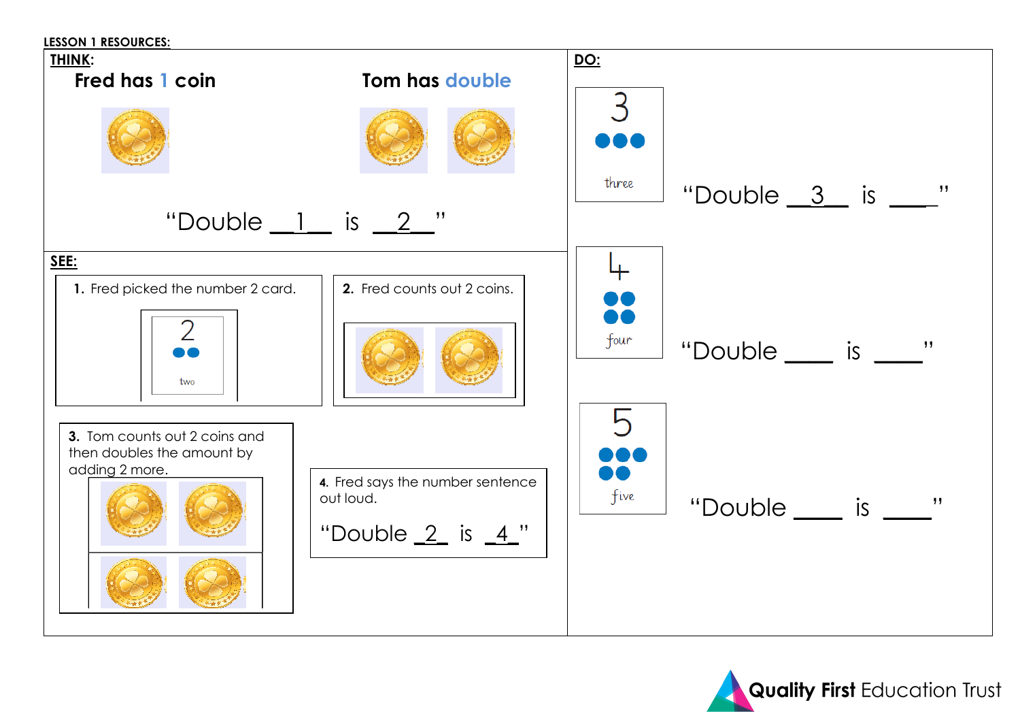

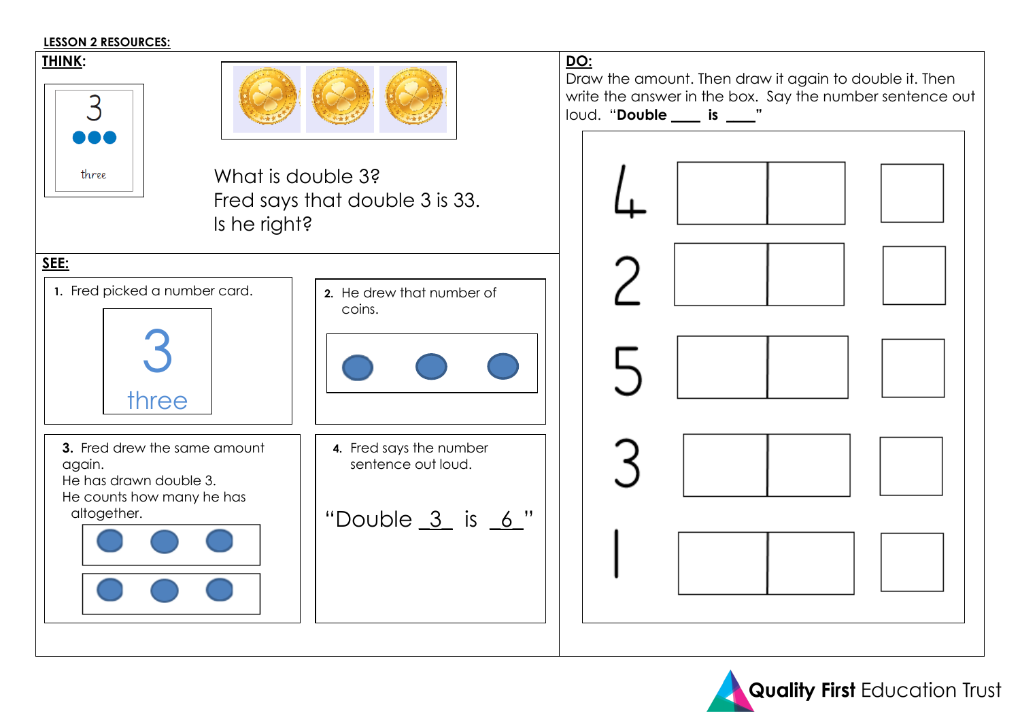#### **LESSON 2 RESOURCES:**



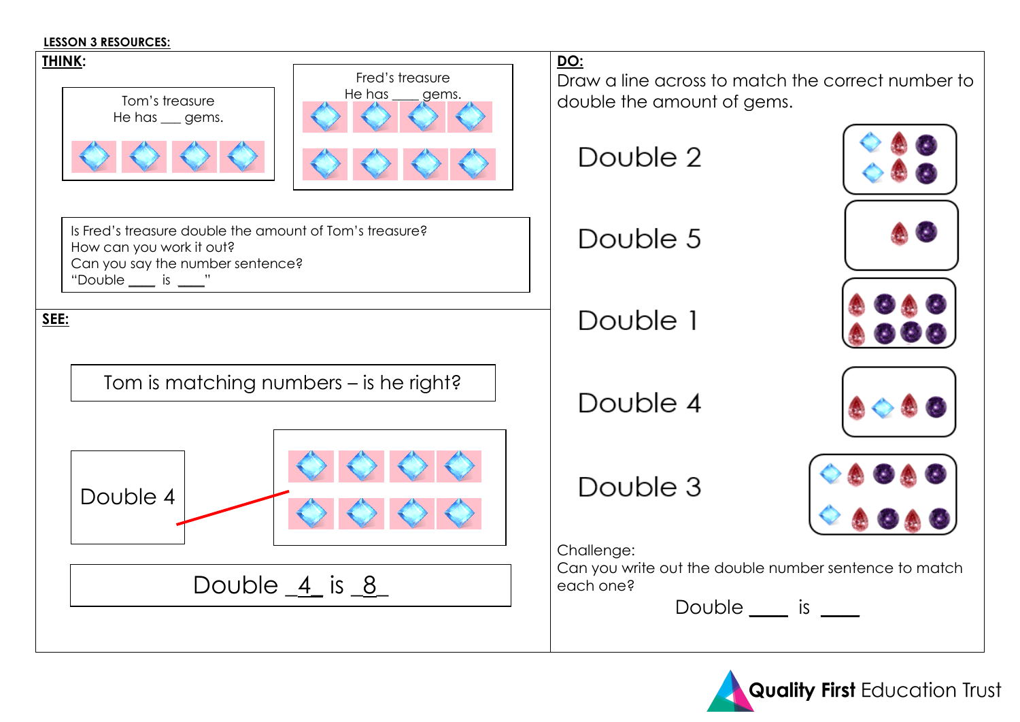#### **LESSON 3 RESOURCES:**



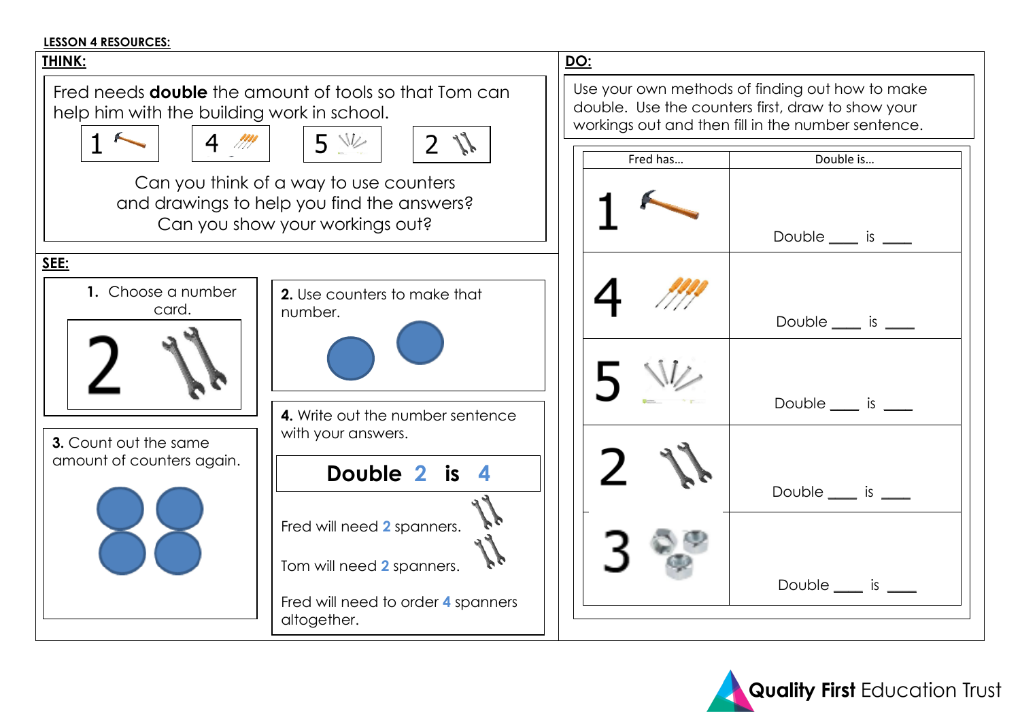## **LESSON 4 RESOURCES:**



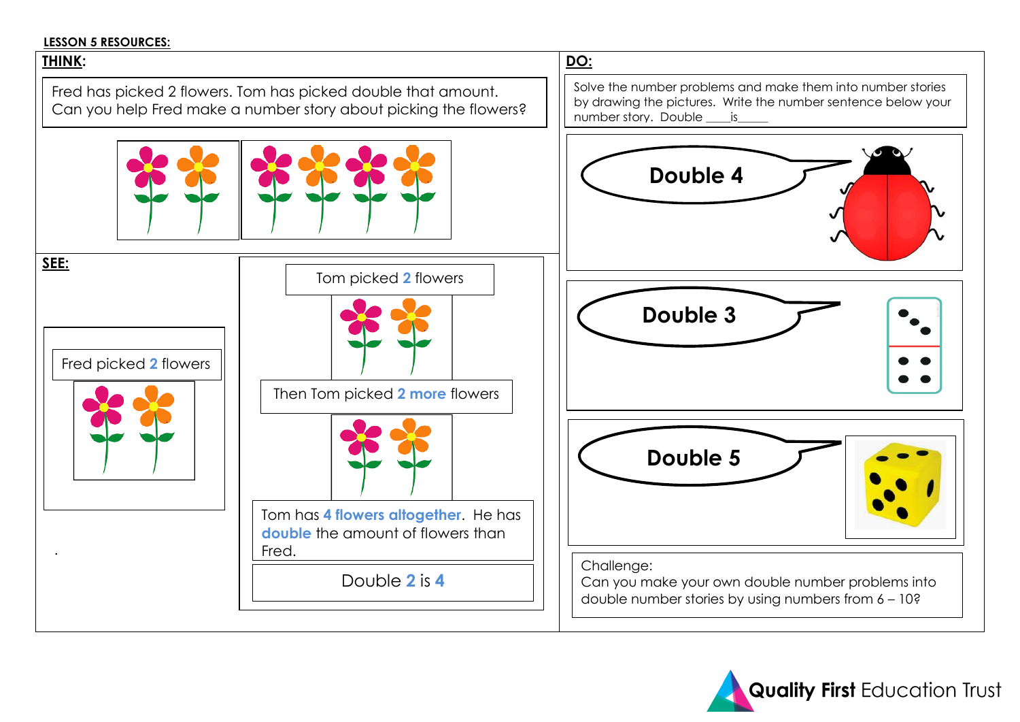## **LESSON 5 RESOURCES:**

# **THINK: DO: SEE:**  . Fred has picked 2 flowers. Tom has picked double that amount. Can you help Fred make a number story about picking the flowers? Fred picked **2** flowers Tom picked **2** flowers Then Tom picked **2 more** flowers Tom has **4 flowers altogether**. He has **double** the amount of flowers than Fred. Double **2** is **4** Solve the number problems and make them into number stories by drawing the pictures. Write the number sentence below your number story. Double \_\_\_\_is\_\_\_\_\_ Double 4 **Double 3** Challenge: Can you make your own double number problems into double number stories by using numbers from 6 – 10? **Double 5**